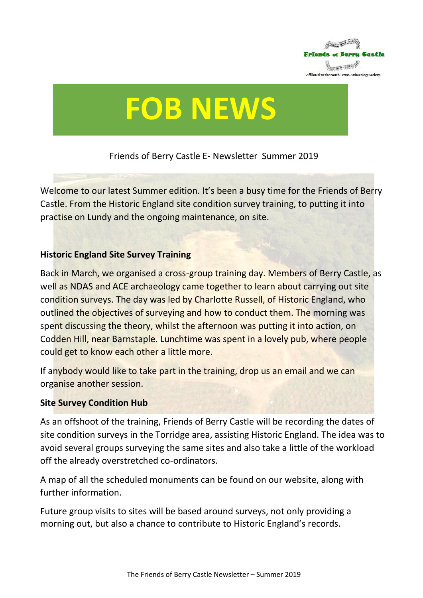

# **FOB NEWS**

Friends of Berry Castle E- Newsletter Summer 2019

Welcome to our latest Summer edition. It's been a busy time for the Friends of Berry Castle. From the Historic England site condition survey training, to putting it into practise on Lundy and the ongoing maintenance, on site.

# **Historic England Site Survey Training**

Back in March, we organised a cross-group training day. Members of Berry Castle, as well as NDAS and ACE archaeology came together to learn about carrying out site condition surveys. The day was led by Charlotte Russell, of Historic England, who outlined the objectives of surveying and how to conduct them. The morning was spent discussing the theory, whilst the afternoon was putting it into action, on Codden Hill, near Barnstaple. Lunchtime was spent in a lovely pub, where people could get to know each other a little more.

If anybody would like to take part in the training, drop us an email and we can organise another session.

## **Site Survey Condition Hub**

As an offshoot of the training, Friends of Berry Castle will be recording the dates of site condition surveys in the Torridge area, assisting Historic England. The idea was to avoid several groups surveying the same sites and also take a little of the workload off the already overstretched co-ordinators.

A map of all the scheduled monuments can be found on our website, along with further information.

Future group visits to sites will be based around surveys, not only providing a morning out, but also a chance to contribute to Historic England's records.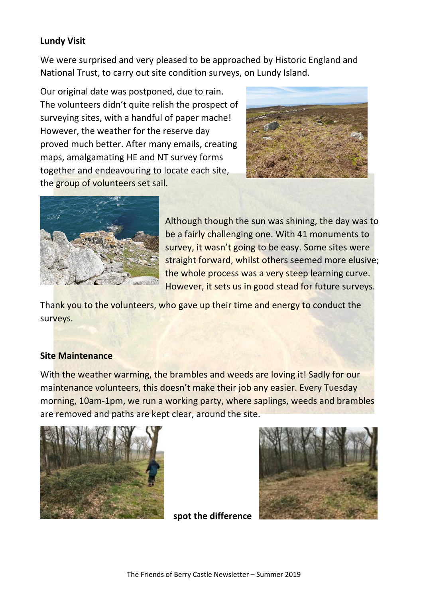## **Lundy Visit**

We were surprised and very pleased to be approached by Historic England and National Trust, to carry out site condition surveys, on Lundy Island.

Our original date was postponed, due to rain. The volunteers didn't quite relish the prospect of surveying sites, with a handful of paper mache! However, the weather for the reserve day proved much better. After many emails, creating maps, amalgamating HE and NT survey forms together and endeavouring to locate each site, the group of volunteers set sail.





Although though the sun was shining, the day was to be a fairly challenging one. With 41 monuments to survey, it wasn't going to be easy. Some sites were straight forward, whilst others seemed more elusive; the whole process was a very steep learning curve. However, it sets us in good stead for future surveys.

Thank you to the volunteers, who gave up their time and energy to conduct the surveys.

## **Site Maintenance**

With the weather warming, the brambles and weeds are loving it! Sadly for our maintenance volunteers, this doesn't make their job any easier. Every Tuesday morning, 10am-1pm, we run a working party, where saplings, weeds and brambles are removed and paths are kept clear, around the site.





**spot the difference**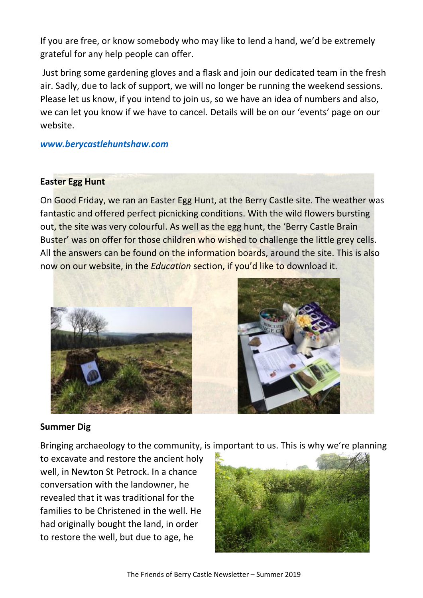If you are free, or know somebody who may like to lend a hand, we'd be extremely grateful for any help people can offer.

Just bring some gardening gloves and a flask and join our dedicated team in the fresh air. Sadly, due to lack of support, we will no longer be running the weekend sessions. Please let us know, if you intend to join us, so we have an idea of numbers and also, we can let you know if we have to cancel. Details will be on our 'events' page on our website.

*[www.berycastlehuntshaw.com](http://www.berycastlehuntshaw.com/)*

#### **Easter Egg Hunt**

On Good Friday, we ran an Easter Egg Hunt, at the Berry Castle site. The weather was fantastic and offered perfect picnicking conditions. With the wild flowers bursting out, the site was very colourful. As well as the egg hunt, the 'Berry Castle Brain Buster' was on offer for those children who wished to challenge the little grey cells. All the answers can be found on the information boards, around the site. This is also now on our website, in the *Education* section, if you'd like to download it.



## **Summer Dig**

Bringing archaeology to the community, is important to us. This is why we're planning

to excavate and restore the ancient holy well, in Newton St Petrock. In a chance conversation with the landowner, he revealed that it was traditional for the families to be Christened in the well. He had originally bought the land, in order to restore the well, but due to age, he

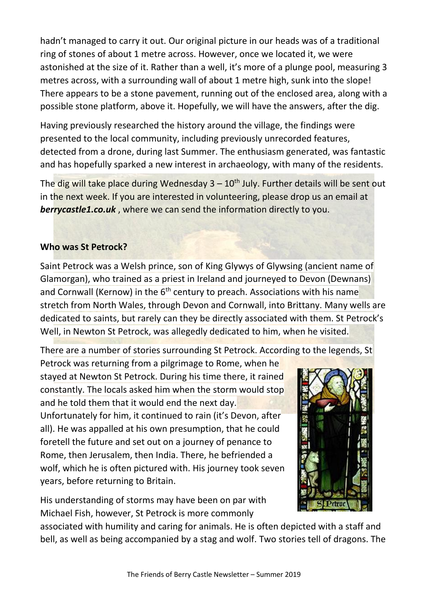hadn't managed to carry it out. Our original picture in our heads was of a traditional ring of stones of about 1 metre across. However, once we located it, we were astonished at the size of it. Rather than a well, it's more of a plunge pool, measuring 3 metres across, with a surrounding wall of about 1 metre high, sunk into the slope! There appears to be a stone pavement, running out of the enclosed area, along with a possible stone platform, above it. Hopefully, we will have the answers, after the dig.

Having previously researched the history around the village, the findings were presented to the local community, including previously unrecorded features, detected from a drone, during last Summer. The enthusiasm generated, was fantastic and has hopefully sparked a new interest in archaeology, with many of the residents.

The dig will take place during Wednesday  $3 - 10<sup>th</sup>$  July. Further details will be sent out in the next week. If you are interested in volunteering, please drop us an email at *berrycastle1.co.uk* , where we can send the information directly to you.

# **Who was St Petrock?**

Saint Petrock was a Welsh prince, son of King Glywys of Glywsing (ancient name of Glamorgan), who trained as a priest in Ireland and journeyed to Devon (Dewnans) and Cornwall (Kernow) in the  $6<sup>th</sup>$  century to preach. Associations with his name stretch from North Wales, through Devon and Cornwall, into Brittany. Many wells are dedicated to saints, but rarely can they be directly associated with them. St Petrock's Well, in Newton St Petrock, was allegedly dedicated to him, when he visited.

There are a number of stories surrounding St Petrock. According to the legends, St

Petrock was returning from a pilgrimage to Rome, when he stayed at Newton St Petrock. During his time there, it rained constantly. The locals asked him when the storm would stop and he told them that it would end the next day. Unfortunately for him, it continued to rain (it's Devon, after all). He was appalled at his own presumption, that he could foretell the future and set out on a journey of penance to Rome, then Jerusalem, then India. There, he befriended a wolf, which he is often pictured with. His journey took seven years, before returning to Britain.

His understanding of storms may have been on par with Michael Fish, however, St Petrock is more commonly



associated with humility and caring for animals. He is often depicted with a staff and bell, as well as being accompanied by a stag and wolf. Two stories tell of dragons. The